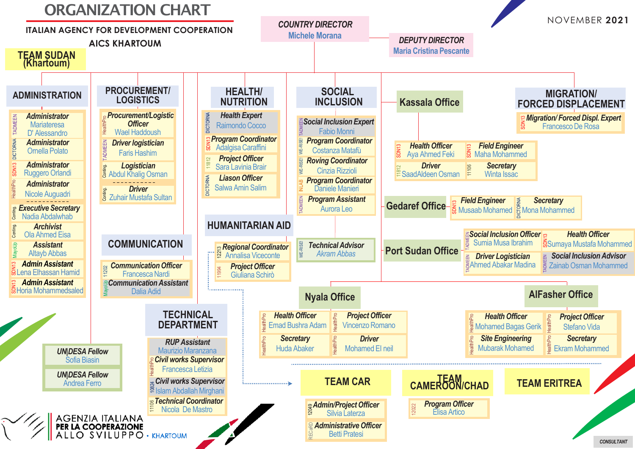